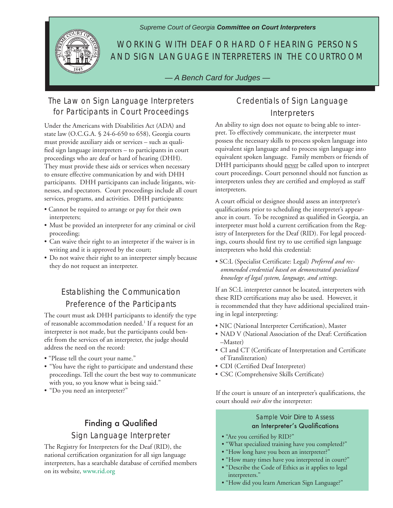*Supreme Court of Georgia Committee on Court Interpreters*



## WORKING WITH DEAF OR HARD OF HEARING PERSONS AND SIGN LANGUAGE INTERPRETERS IN THE COURTROOM

*— A Bench Card for Judges —*

### The Law on Sign Language Interpreters for Participants in Court Proceedings

Under the Americans with Disabilities Act (ADA) and state law (O.C.G.A. § 24-6-650 to 658), Georgia courts must provide auxiliary aids or services – such as qualified sign language interpreters – to participants in court proceedings who are deaf or hard of hearing (DHH). They must provide these aids or services when necessary to ensure effective communication by and with DHH participants. DHH participants can include litigants, witnesses, and spectators. Court proceedings include all court services, programs, and activities. DHH participants:

- Cannot be required to arrange or pay for their own interpreters;
- Must be provided an interpreter for any criminal or civil proceeding;
- Can waive their right to an interpreter if the waiver is in writing and it is approved by the court;
- Do not waive their right to an interpreter simply because they do not request an interpreter.

# Establishing the Communication Preference of the Participants

The court must ask DHH participants to identify the type of reasonable accommodation needed.<sup>1</sup> If a request for an interpreter is not made, but the participants could benefit from the services of an interpreter, the judge should address the need on the record:

- "Please tell the court your name."
- "You have the right to participate and understand these proceedings. Tell the court the best way to communicate with you, so you know what is being said."
- "Do you need an interpreter?"

# Finding a Qualified Sign Language Interpreter

The Registry for Interpreters for the Deaf (RID), the national certification organization for all sign language interpreters, has a searchable database of certified members on its website, www.rid.org

#### Credentials of Sign Language **Interpreters**

An ability to sign does not equate to being able to interpret. To effectively communicate, the interpreter must possess the necessary skills to process spoken language into equivalent sign language and to process sign language into equivalent spoken language. Family members or friends of DHH participants should never be called upon to interpret court proceedings. Court personnel should not function as interpreters unless they are certified and employed as staff interpreters.

A court official or designee should assess an interpreter's qualifications prior to scheduling the interpreter's appearance in court. To be recognized as qualified in Georgia, an interpreter must hold a current certification from the Registry of Interpreters for the Deaf (RID). For legal proceedings, courts should first try to use certified sign language interpreters who hold this credential:

• SC:L (Specialist Certificate: Legal) *Preferred and recommended credential based on demonstrated specialized knowlege of legal system, language, and settings.*

If an SC:L interpreter cannot be located, interpreters with these RID certifications may also be used. However, it is recommended that they have additional specialized training in legal interpreting:

- NIC (National Interpreter Certification), Master
- NAD V (National Association of the Deaf: Certification –Master)
- CI and CT (Certificate of Interpretation and Certificate of Transliteration)
- CDI (Certified Deaf Interpreter)
- CSC (Comprehensive Skills Certificate)

If the court is unsure of an interpreter's qualifications, the court should *voir dire* the interpreter:

#### Sample *Voir Dire* to Assess an Interpreter's Qualifications

- "Are you certified by RID?"
- "What specialized training have you completed?"
- "How long have you been an interpreter?"
- "How many times have you interpreted in court?"
- "Describe the Code of Ethics as it applies to legal interpreters."
- "How did you learn American Sign Language?"